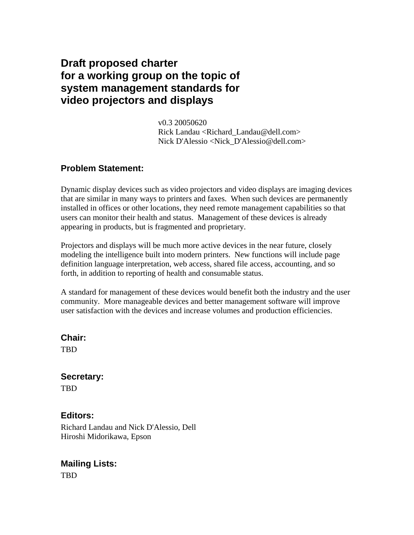# **Draft proposed charter for a working group on the topic of system management standards for video projectors and displays**

 v0.3 20050620 Rick Landau <Richard Landau@dell.com> Nick D'Alessio <Nick\_D'Alessio@dell.com>

### **Problem Statement:**

Dynamic display devices such as video projectors and video displays are imaging devices that are similar in many ways to printers and faxes. When such devices are permanently installed in offices or other locations, they need remote management capabilities so that users can monitor their health and status. Management of these devices is already appearing in products, but is fragmented and proprietary.

Projectors and displays will be much more active devices in the near future, closely modeling the intelligence built into modern printers. New functions will include page definition language interpretation, web access, shared file access, accounting, and so forth, in addition to reporting of health and consumable status.

A standard for management of these devices would benefit both the industry and the user community. More manageable devices and better management software will improve user satisfaction with the devices and increase volumes and production efficiencies.

#### **Chair:**

TBD

### **Secretary:**

TBD

### **Editors:**

Richard Landau and Nick D'Alessio, Dell Hiroshi Midorikawa, Epson

# **Mailing Lists:**

TBD